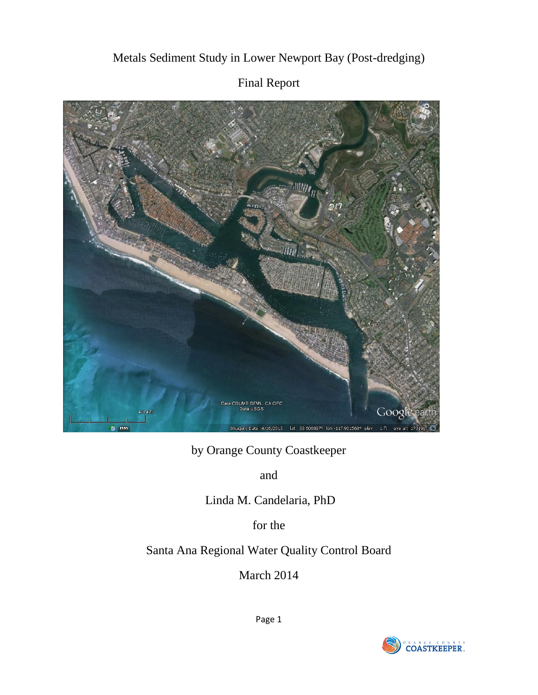# SUMB SFML, CA OPC Googleea Data USGS 4174 ft Imagery Date: 4/16/2013 lat 33.606897° lon -117.901568° elev

# Metals Sediment Study in Lower Newport Bay (Post-dredging)

# Final Report

by Orange County Coastkeeper

and

Linda M. Candelaria, PhD

for the

# Santa Ana Regional Water Quality Control Board

March 2014

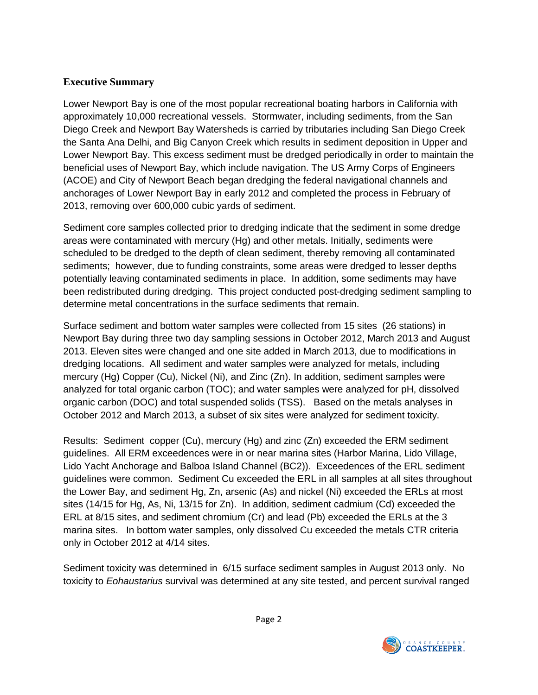#### **Executive Summary**

Lower Newport Bay is one of the most popular recreational boating harbors in California with approximately 10,000 recreational vessels. Stormwater, including sediments, from the San Diego Creek and Newport Bay Watersheds is carried by tributaries including San Diego Creek the Santa Ana Delhi, and Big Canyon Creek which results in sediment deposition in Upper and Lower Newport Bay. This excess sediment must be dredged periodically in order to maintain the beneficial uses of Newport Bay, which include navigation. The US Army Corps of Engineers (ACOE) and City of Newport Beach began dredging the federal navigational channels and anchorages of Lower Newport Bay in early 2012 and completed the process in February of 2013, removing over 600,000 cubic yards of sediment.

Sediment core samples collected prior to dredging indicate that the sediment in some dredge areas were contaminated with mercury (Hg) and other metals. Initially, sediments were scheduled to be dredged to the depth of clean sediment, thereby removing all contaminated sediments; however, due to funding constraints, some areas were dredged to lesser depths potentially leaving contaminated sediments in place. In addition, some sediments may have been redistributed during dredging. This project conducted post-dredging sediment sampling to determine metal concentrations in the surface sediments that remain.

Surface sediment and bottom water samples were collected from 15 sites (26 stations) in Newport Bay during three two day sampling sessions in October 2012, March 2013 and August 2013. Eleven sites were changed and one site added in March 2013, due to modifications in dredging locations. All sediment and water samples were analyzed for metals, including mercury (Hg) Copper (Cu), Nickel (Ni), and Zinc (Zn). In addition, sediment samples were analyzed for total organic carbon (TOC); and water samples were analyzed for pH, dissolved organic carbon (DOC) and total suspended solids (TSS). Based on the metals analyses in October 2012 and March 2013, a subset of six sites were analyzed for sediment toxicity.

Results: Sediment copper (Cu), mercury (Hg) and zinc (Zn) exceeded the ERM sediment guidelines. All ERM exceedences were in or near marina sites (Harbor Marina, Lido Village, Lido Yacht Anchorage and Balboa Island Channel (BC2)). Exceedences of the ERL sediment guidelines were common. Sediment Cu exceeded the ERL in all samples at all sites throughout the Lower Bay, and sediment Hg, Zn, arsenic (As) and nickel (Ni) exceeded the ERLs at most sites (14/15 for Hg, As, Ni, 13/15 for Zn). In addition, sediment cadmium (Cd) exceeded the ERL at 8/15 sites, and sediment chromium (Cr) and lead (Pb) exceeded the ERLs at the 3 marina sites. In bottom water samples, only dissolved Cu exceeded the metals CTR criteria only in October 2012 at 4/14 sites.

Sediment toxicity was determined in 6/15 surface sediment samples in August 2013 only. No toxicity to *Eohaustarius* survival was determined at any site tested, and percent survival ranged

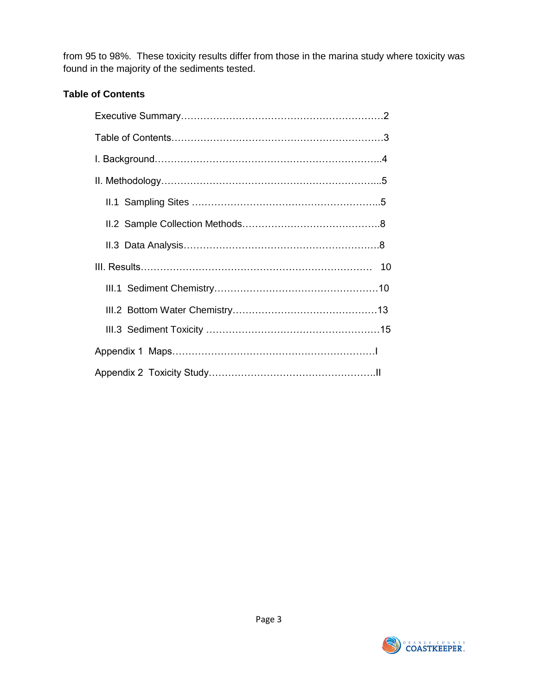from 95 to 98%. These toxicity results differ from those in the marina study where toxicity was found in the majority of the sediments tested.

## **Table of Contents**

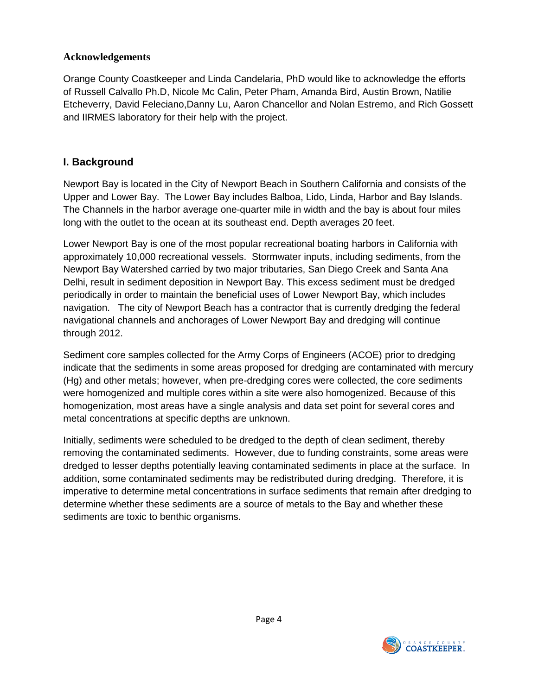#### **Acknowledgements**

Orange County Coastkeeper and Linda Candelaria, PhD would like to acknowledge the efforts of Russell Calvallo Ph.D, Nicole Mc Calin, Peter Pham, Amanda Bird, Austin Brown, Natilie Etcheverry, David Feleciano,Danny Lu, Aaron Chancellor and Nolan Estremo, and Rich Gossett and IIRMES laboratory for their help with the project.

# **I. Background**

Newport Bay is located in the City of Newport Beach in Southern California and consists of the Upper and Lower Bay. The Lower Bay includes Balboa, Lido, Linda, Harbor and Bay Islands. The Channels in the harbor average one-quarter mile in width and the bay is about four miles long with the outlet to the ocean at its southeast end. Depth averages 20 feet.

Lower Newport Bay is one of the most popular recreational boating harbors in California with approximately 10,000 recreational vessels. Stormwater inputs, including sediments, from the Newport Bay Watershed carried by two major tributaries, San Diego Creek and Santa Ana Delhi, result in sediment deposition in Newport Bay. This excess sediment must be dredged periodically in order to maintain the beneficial uses of Lower Newport Bay, which includes navigation. The city of Newport Beach has a contractor that is currently dredging the federal navigational channels and anchorages of Lower Newport Bay and dredging will continue through 2012.

Sediment core samples collected for the Army Corps of Engineers (ACOE) prior to dredging indicate that the sediments in some areas proposed for dredging are contaminated with mercury (Hg) and other metals; however, when pre-dredging cores were collected, the core sediments were homogenized and multiple cores within a site were also homogenized. Because of this homogenization, most areas have a single analysis and data set point for several cores and metal concentrations at specific depths are unknown.

Initially, sediments were scheduled to be dredged to the depth of clean sediment, thereby removing the contaminated sediments. However, due to funding constraints, some areas were dredged to lesser depths potentially leaving contaminated sediments in place at the surface. In addition, some contaminated sediments may be redistributed during dredging. Therefore, it is imperative to determine metal concentrations in surface sediments that remain after dredging to determine whether these sediments are a source of metals to the Bay and whether these sediments are toxic to benthic organisms.

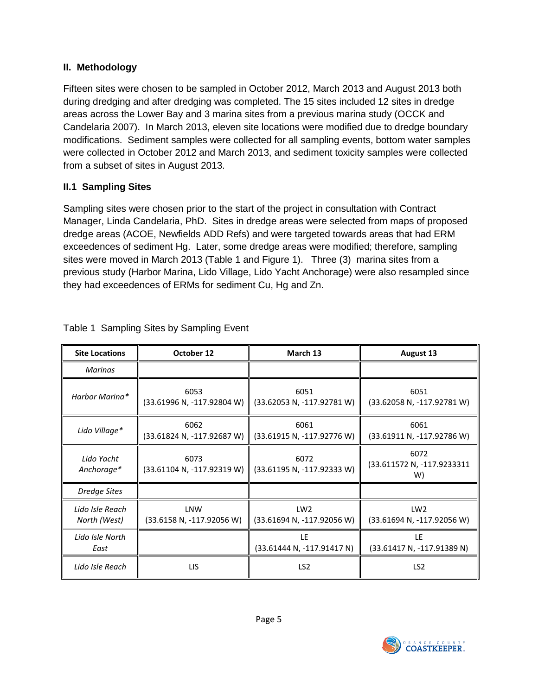#### **II. Methodology**

Fifteen sites were chosen to be sampled in October 2012, March 2013 and August 2013 both during dredging and after dredging was completed. The 15 sites included 12 sites in dredge areas across the Lower Bay and 3 marina sites from a previous marina study (OCCK and Candelaria 2007). In March 2013, eleven site locations were modified due to dredge boundary modifications. Sediment samples were collected for all sampling events, bottom water samples were collected in October 2012 and March 2013, and sediment toxicity samples were collected from a subset of sites in August 2013.

#### **II.1 Sampling Sites**

Sampling sites were chosen prior to the start of the project in consultation with Contract Manager, Linda Candelaria, PhD. Sites in dredge areas were selected from maps of proposed dredge areas (ACOE, Newfields ADD Refs) and were targeted towards areas that had ERM exceedences of sediment Hg. Later, some dredge areas were modified; therefore, sampling sites were moved in March 2013 (Table 1 and Figure 1). Three (3) marina sites from a previous study (Harbor Marina, Lido Village, Lido Yacht Anchorage) were also resampled since they had exceedences of ERMs for sediment Cu, Hg and Zn.

| <b>Site Locations</b>           | October 12                              | March 13                                      | August 13                                     |
|---------------------------------|-----------------------------------------|-----------------------------------------------|-----------------------------------------------|
| Marinas                         |                                         |                                               |                                               |
| Harbor Marina*                  | 6053<br>(33.61996 N, -117.92804 W)      | 6051<br>(33.62053 N, -117.92781 W)            | 6051<br>(33.62058 N, -117.92781 W)            |
| Lido Village*                   | 6062<br>(33.61824 N, -117.92687 W)      | 6061<br>(33.61915 N, -117.92776 W)            | 6061<br>(33.61911 N, -117.92786 W)            |
| Lido Yacht<br>Anchorage*        | 6073<br>$(33.61104 N, -117.92319 W)$    | 6072<br>(33.61195 N, -117.92333 W)            | 6072<br>(33.611572 N, -117.9233311<br>W)      |
| <b>Dredge Sites</b>             |                                         |                                               |                                               |
| Lido Isle Reach<br>North (West) | <b>LNW</b><br>(33.6158 N, -117.92056 W) | LW <sub>2</sub><br>(33.61694 N, -117.92056 W) | LW <sub>2</sub><br>(33.61694 N, -117.92056 W) |
| Lido Isle North<br>East         |                                         | LE<br>$(33.61444 N, -117.91417 N)$            | LE<br>(33.61417 N, -117.91389 N)              |
| Lido Isle Reach                 | <b>LIS</b>                              | LS <sub>2</sub>                               | LS <sub>2</sub>                               |

#### Table 1 Sampling Sites by Sampling Event

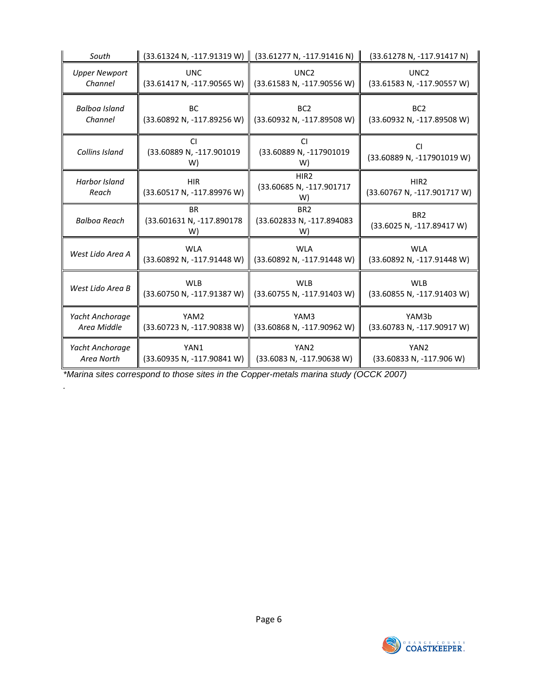| South                         | $(33.61324 N, -117.91319 W)$ (33.61277 N, -117.91416 N)                                  |                                                    | (33.61278 N, -117.91417 N)                      |
|-------------------------------|------------------------------------------------------------------------------------------|----------------------------------------------------|-------------------------------------------------|
| <b>Upper Newport</b>          | <b>UNC</b>                                                                               | UNC <sub>2</sub>                                   |                                                 |
| Channel                       | (33.61417 N, -117.90565 W)                                                               | (33.61583 N, -117.90556 W)                         |                                                 |
| Balboa Island<br>Channel      | <b>BC</b><br>BC <sub>2</sub><br>(33.60892 N, -117.89256 W)<br>(33.60932 N, -117.89508 W) |                                                    | BC <sub>2</sub><br>(33.60932 N, -117.89508 W)   |
| Collins Island                | CI.<br>(33.60889 N, -117.901019<br>W)                                                    | <b>CI</b><br>(33.60889 N, -117901019<br>W)         | CI<br>(33.60889 N, -117901019 W)                |
| <b>Harbor Island</b><br>Reach | <b>HIR</b><br>(33.60517 N, -117.89976 W)                                                 | HIR <sub>2</sub><br>(33.60685 N, -117.901717<br>W) | HIR <sub>2</sub><br>(33.60767 N, -117.901717 W) |
| <b>Balboa Reach</b>           | <b>BR</b><br>(33.601631 N, -117.890178<br>W)                                             | BR <sub>2</sub><br>(33.602833 N, -117.894083<br>W) | BR <sub>2</sub><br>(33.6025 N, -117.89417 W)    |
| West Lido Area A              | <b>WLA</b>                                                                               | <b>WLA</b>                                         | <b>WLA</b>                                      |
|                               | (33.60892 N, -117.91448 W)                                                               | (33.60892 N, -117.91448 W)                         | (33.60892 N, -117.91448 W)                      |
| West Lido Area B              | <b>WLB</b>                                                                               | <b>WLB</b>                                         | <b>WLB</b>                                      |
|                               | (33.60750 N, -117.91387 W)                                                               | (33.60755 N, -117.91403 W)                         | (33.60855 N, -117.91403 W)                      |
| Yacht Anchorage               | YAM2                                                                                     | YAM3                                               | YAM3b                                           |
| Area Middle                   | (33.60723 N, -117.90838 W)                                                               | (33.60868 N, -117.90962 W)                         | (33.60783 N, -117.90917 W)                      |
| Yacht Anchorage               | YAN1                                                                                     | YAN <sub>2</sub>                                   | YAN <sub>2</sub>                                |
| Area North                    | (33.60935 N, -117.90841 W)                                                               | (33.6083 N, -117.90638 W)                          | (33.60833 N, -117.906 W)                        |

*\*Marina sites correspond to those sites in the Copper-metals marina study (OCCK 2007)* 

*.* 

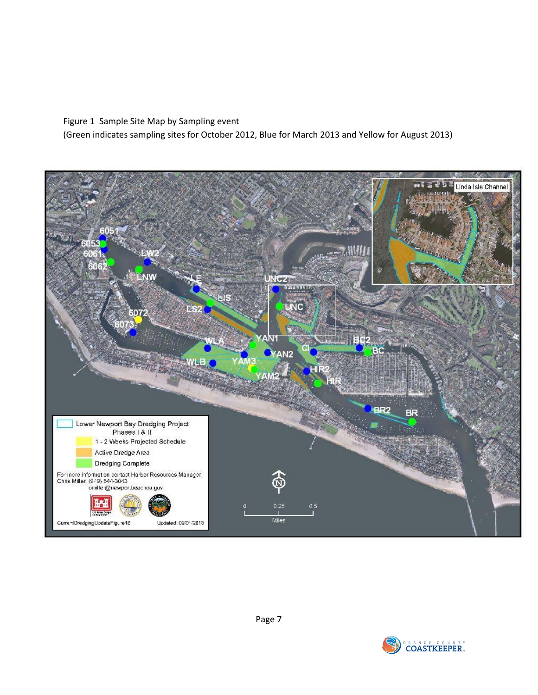#### Figure 1 Sample Site Map by Sampling event

(Green indicates sampling sites for October 2012, Blue for March 2013 and Yellow for August 2013)



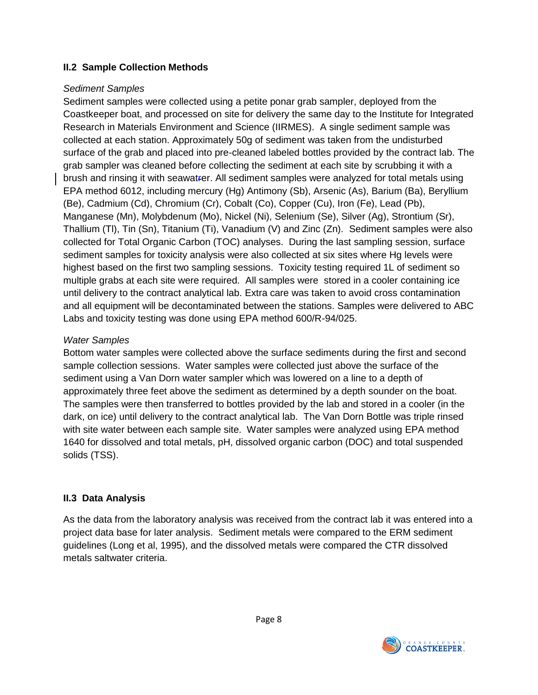#### **II.2 Sample Collection Methods**

#### *Sediment Samples*

Sediment samples were collected using a petite ponar grab sampler, deployed from the Coastkeeper boat, and processed on site for delivery the same day to the Institute for Integrated Research in Materials Environment and Science (IIRMES). A single sediment sample was collected at each station. Approximately 50g of sediment was taken from the undisturbed surface of the grab and placed into pre-cleaned labeled bottles provided by the contract lab. The grab sampler was cleaned before collecting the sediment at each site by scrubbing it with a brush and rinsing it with seawatrer. All sediment samples were analyzed for total metals using EPA method 6012, including mercury (Hg) Antimony (Sb), Arsenic (As), Barium (Ba), Beryllium (Be), Cadmium (Cd), Chromium (Cr), Cobalt (Co), Copper (Cu), Iron (Fe), Lead (Pb), Manganese (Mn), Molybdenum (Mo), Nickel (Ni), Selenium (Se), Silver (Ag), Strontium (Sr), Thallium (Tl), Tin (Sn), Titanium (Ti), Vanadium (V) and Zinc (Zn). Sediment samples were also collected for Total Organic Carbon (TOC) analyses. During the last sampling session, surface sediment samples for toxicity analysis were also collected at six sites where Hg levels were highest based on the first two sampling sessions. Toxicity testing required 1L of sediment so multiple grabs at each site were required. All samples were stored in a cooler containing ice until delivery to the contract analytical lab. Extra care was taken to avoid cross contamination and all equipment will be decontaminated between the stations. Samples were delivered to ABC Labs and toxicity testing was done using EPA method 600/R-94/025.

#### *Water Samples*

Bottom water samples were collected above the surface sediments during the first and second sample collection sessions. Water samples were collected just above the surface of the sediment using a Van Dorn water sampler which was lowered on a line to a depth of approximately three feet above the sediment as determined by a depth sounder on the boat. The samples were then transferred to bottles provided by the lab and stored in a cooler (in the dark, on ice) until delivery to the contract analytical lab. The Van Dorn Bottle was triple rinsed with site water between each sample site. Water samples were analyzed using EPA method 1640 for dissolved and total metals, pH, dissolved organic carbon (DOC) and total suspended solids (TSS).

## **II.3 Data Analysis**

As the data from the laboratory analysis was received from the contract lab it was entered into a project data base for later analysis. Sediment metals were compared to the ERM sediment guidelines (Long et al, 1995), and the dissolved metals were compared the CTR dissolved metals saltwater criteria.

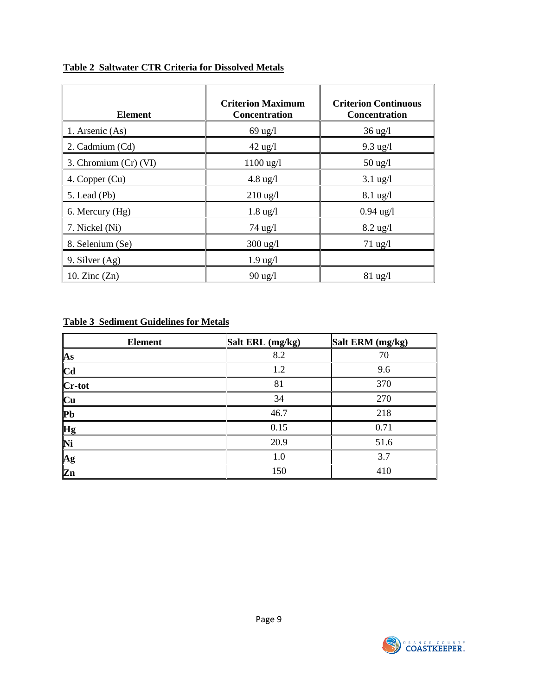| <b>Element</b>        | <b>Criterion Maximum</b><br>Concentration | <b>Criterion Continuous</b><br>Concentration |
|-----------------------|-------------------------------------------|----------------------------------------------|
| 1. Arsenic (As)       | $69$ ug/l                                 | $36 \text{ ug}/l$                            |
| 2. Cadmium (Cd)       | $42$ ug/l                                 | $9.3 \text{ ug}/l$                           |
| 3. Chromium (Cr) (VI) | $1100$ ug/l                               | $50 \text{ ug}/l$                            |
| 4. Copper (Cu)        | $4.8 \text{ ug}/l$                        | $3.1 \text{ ug}/l$                           |
| 5. Lead (Pb)          | $210$ ug/l                                | $8.1 \text{ ug}/l$                           |
| 6. Mercury (Hg)       | $1.8 \text{ ug}/l$                        | $0.94 \text{ ug}/1$                          |
| 7. Nickel (Ni)        | $74 \text{ ug}/l$                         | $8.2 \text{ ug}/l$                           |
| 8. Selenium (Se)      | $300 \text{ ug}/l$                        | $71 \text{ ug}/1$                            |
| 9. Silver $(Ag)$      | $1.9 \text{ ug}/l$                        |                                              |
| 10. Zinc $(Zn)$       | $90 \text{ ug}$                           | $81 \text{ ug}/l$                            |

#### **Table 2 Saltwater CTR Criteria for Dissolved Metals**

#### **Table 3 Sediment Guidelines for Metals**

| <b>Element</b>  | Salt ERL (mg/kg) | Salt ERM (mg/kg) |
|-----------------|------------------|------------------|
| As              | 8.2              | 70               |
| <b>Cd</b>       | 1.2              | 9.6              |
| Cr-tot          | 81               | 370              |
| Cu              | 34               | 270              |
| P <sub>b</sub>  | 46.7             | 218              |
| Hg              | 0.15             | 0.71             |
| Ni              | 20.9             | 51.6             |
| $\overline{Ag}$ | 1.0              | 3.7              |
| Zn              | 150              | 410              |

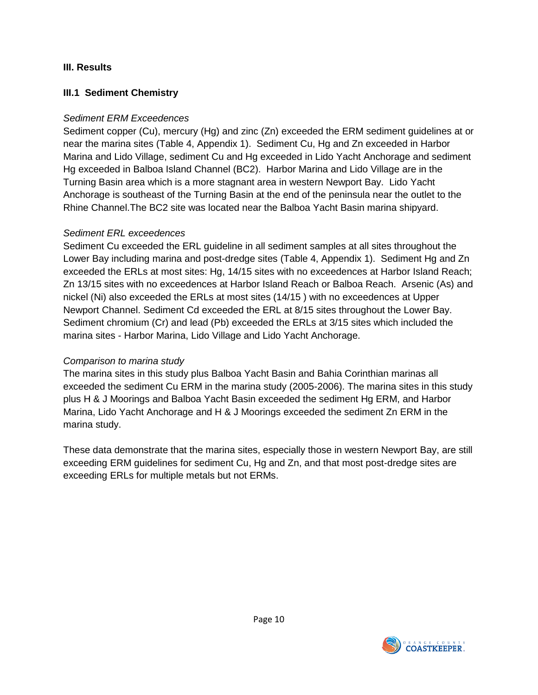#### **III. Results**

#### **III.1 Sediment Chemistry**

#### *Sediment ERM Exceedences*

Sediment copper (Cu), mercury (Hg) and zinc (Zn) exceeded the ERM sediment guidelines at or near the marina sites (Table 4, Appendix 1). Sediment Cu, Hg and Zn exceeded in Harbor Marina and Lido Village, sediment Cu and Hg exceeded in Lido Yacht Anchorage and sediment Hg exceeded in Balboa Island Channel (BC2). Harbor Marina and Lido Village are in the Turning Basin area which is a more stagnant area in western Newport Bay. Lido Yacht Anchorage is southeast of the Turning Basin at the end of the peninsula near the outlet to the Rhine Channel.The BC2 site was located near the Balboa Yacht Basin marina shipyard.

#### *Sediment ERL exceedences*

Sediment Cu exceeded the ERL guideline in all sediment samples at all sites throughout the Lower Bay including marina and post-dredge sites (Table 4, Appendix 1). Sediment Hg and Zn exceeded the ERLs at most sites: Hg, 14/15 sites with no exceedences at Harbor Island Reach; Zn 13/15 sites with no exceedences at Harbor Island Reach or Balboa Reach. Arsenic (As) and nickel (Ni) also exceeded the ERLs at most sites (14/15 ) with no exceedences at Upper Newport Channel. Sediment Cd exceeded the ERL at 8/15 sites throughout the Lower Bay. Sediment chromium (Cr) and lead (Pb) exceeded the ERLs at 3/15 sites which included the marina sites - Harbor Marina, Lido Village and Lido Yacht Anchorage.

## *Comparison to marina study*

The marina sites in this study plus Balboa Yacht Basin and Bahia Corinthian marinas all exceeded the sediment Cu ERM in the marina study (2005-2006). The marina sites in this study plus H & J Moorings and Balboa Yacht Basin exceeded the sediment Hg ERM, and Harbor Marina, Lido Yacht Anchorage and H & J Moorings exceeded the sediment Zn ERM in the marina study.

These data demonstrate that the marina sites, especially those in western Newport Bay, are still exceeding ERM guidelines for sediment Cu, Hg and Zn, and that most post-dredge sites are exceeding ERLs for multiple metals but not ERMs.

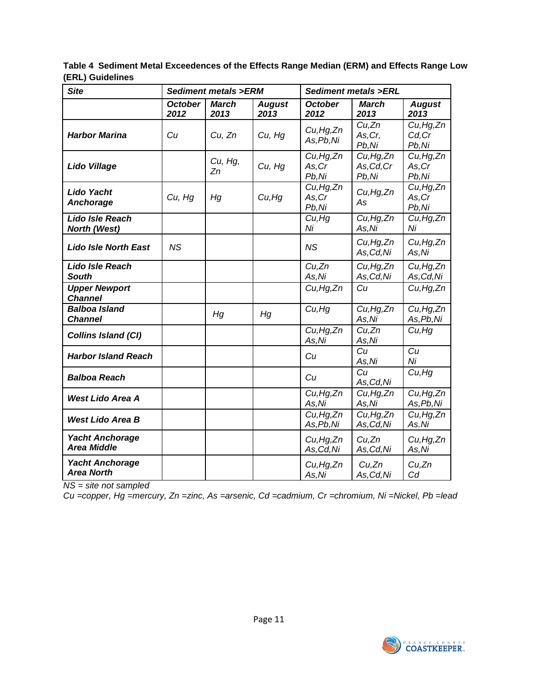**Table 4 Sediment Metal Exceedences of the Effects Range Median (ERM) and Effects Range Low (ERL) Guidelines** 

| <b>Site</b>                                  | <b>Sediment metals &gt;ERM</b> |                      |                       |                                        | <b>Sediment metals &gt;ERL</b>                  |                                             |
|----------------------------------------------|--------------------------------|----------------------|-----------------------|----------------------------------------|-------------------------------------------------|---------------------------------------------|
|                                              | <b>October</b><br>2012         | <b>March</b><br>2013 | <b>August</b><br>2013 | <b>October</b><br>2012                 | <b>March</b><br>2013                            | <b>August</b><br>2013                       |
| <b>Harbor Marina</b>                         | Cu                             | Cu, Zn               | Cu, Hg                | Cu, Hg, Zn<br>As, Pb, Ni               | Cu,Zn<br>As, Cr,<br>Pb,Ni                       | $\overline{C}u$ , Hg, Zn<br>Cd, Cr<br>Pb,Ni |
| <b>Lido Village</b>                          |                                | Cu, Hg,<br>Zn        | Cu, Hg                | Cu, Hg, Zn<br>As, Cr<br>Pb,Ni          | $\overline{C}u$ , Hg, Zn<br>As, Cd, Cr<br>Pb,Ni | Cu, Hg, Zn<br>As, Cr<br>Pb,Ni               |
| Lido Yacht<br>Anchorage                      | Cu, Hg                         | Нg                   | Cu,Hg                 | Cu, Hg, Zn<br>As, Cr<br>Pb,Ni          | Cu, Hg, Zn<br>As                                | Cu, Hg, Zn<br>As, Cr<br>Pb,Ni               |
| Lido Isle Reach<br><b>North (West)</b>       |                                |                      |                       | Cu, Hg<br>Ni                           | Cu, Hg, Zn<br>As.Ni                             | Cu, Hg, Zn<br>Ni                            |
| <b>Lido Isle North East</b>                  | <b>NS</b>                      |                      |                       | <b>NS</b>                              | Cu, Hg, Zn<br>As,Cd,Ni                          | Cu, Hg, Zn<br>As,Ni                         |
| <b>Lido Isle Reach</b><br><b>South</b>       |                                |                      |                       | Cu,Zn<br>As,Ni                         | Cu, Hg, Zn<br>As, Cd, Ni                        | Cu, Hg, Zn<br>As, Cd, Ni                    |
| <b>Upper Newport</b><br><b>Channel</b>       |                                |                      |                       | Cu, Hg, Zn                             | Cu                                              | Cu, Hg, Zn                                  |
| Balboa Island<br><b>Channel</b>              |                                | Hg                   | Hg                    | Cu, Hg                                 | Cu, Hg, Zn<br>As, Ni                            | Cu, Hg, Zn<br>As, Pb, Ni                    |
| <b>Collins Island (CI)</b>                   |                                |                      |                       | Cu, Hg, Zn<br>As, Ni                   | Cu,Zn<br>As,Ni                                  | Cu, Hg                                      |
| <b>Harbor Island Reach</b>                   |                                |                      |                       | Cu                                     | Cu<br>As,Ni                                     | Cu<br>Ni                                    |
| <b>Balboa Reach</b>                          |                                |                      |                       | Cu                                     | Cu<br>As, Cd, Ni                                | Cu, Hg                                      |
| <b>West Lido Area A</b>                      |                                |                      |                       | Cu, Hg, Zn<br>As, Ni                   | Cu, Hg, Zn<br>As, Ni                            | Cu, Hg, Zn<br>As, Pb, Ni                    |
| <b>West Lido Area B</b>                      |                                |                      |                       | $\overline{C}u$ , Hg, Zn<br>As, Pb, Ni | Cu, Hg, Zn<br>As, Cd, Ni                        | Cu, Hg, Zn<br>As.Ni                         |
| <b>Yacht Anchorage</b><br><b>Area Middle</b> |                                |                      |                       | Cu, Hg, Zn<br>As, Cd, Ni               | Cu,Zn<br>As, Cd, Ni                             | Cu,Hg,Zn<br>As,Ni                           |
| <b>Yacht Anchorage</b><br><b>Area North</b>  |                                |                      |                       | Cu, Hg, Zn<br>As,Ni                    | Cu,Zn<br>As, Cd, Ni                             | Cu,Zn<br>Cd                                 |

*NS = site not sampled* 

*Cu =copper, Hg =mercury, Zn =zinc, As =arsenic, Cd =cadmium, Cr =chromium, Ni =Nickel, Pb =lead*

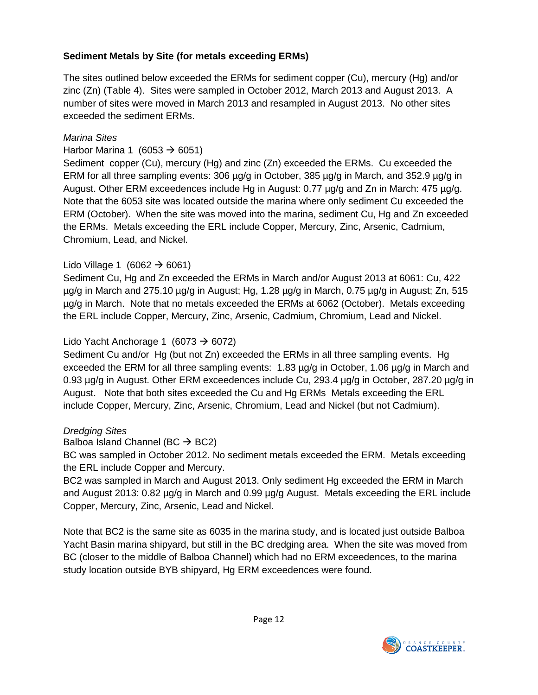## **Sediment Metals by Site (for metals exceeding ERMs)**

The sites outlined below exceeded the ERMs for sediment copper (Cu), mercury (Hg) and/or zinc (Zn) (Table 4). Sites were sampled in October 2012, March 2013 and August 2013. A number of sites were moved in March 2013 and resampled in August 2013. No other sites exceeded the sediment ERMs.

#### *Marina Sites*

#### Harbor Marina 1 (6053  $\rightarrow$  6051)

Sediment copper (Cu), mercury (Hg) and zinc (Zn) exceeded the ERMs. Cu exceeded the ERM for all three sampling events: 306 µg/g in October, 385 µg/g in March, and 352.9 µg/g in August. Other ERM exceedences include Hg in August: 0.77 µg/g and Zn in March: 475 µg/g. Note that the 6053 site was located outside the marina where only sediment Cu exceeded the ERM (October). When the site was moved into the marina, sediment Cu, Hg and Zn exceeded the ERMs. Metals exceeding the ERL include Copper, Mercury, Zinc, Arsenic, Cadmium, Chromium, Lead, and Nickel.

## Lido Village 1 (6062  $\rightarrow$  6061)

Sediment Cu, Hg and Zn exceeded the ERMs in March and/or August 2013 at 6061: Cu, 422 µg/g in March and 275.10 µg/g in August; Hg, 1.28 µg/g in March, 0.75 µg/g in August; Zn, 515 µg/g in March. Note that no metals exceeded the ERMs at 6062 (October). Metals exceeding the ERL include Copper, Mercury, Zinc, Arsenic, Cadmium, Chromium, Lead and Nickel.

#### Lido Yacht Anchorage 1 (6073  $\rightarrow$  6072)

Sediment Cu and/or Hg (but not Zn) exceeded the ERMs in all three sampling events. Hg exceeded the ERM for all three sampling events: 1.83 µg/g in October, 1.06 µg/g in March and 0.93 µg/g in August. Other ERM exceedences include Cu, 293.4 µg/g in October, 287.20 µg/g in August. Note that both sites exceeded the Cu and Hg ERMs Metals exceeding the ERL include Copper, Mercury, Zinc, Arsenic, Chromium, Lead and Nickel (but not Cadmium).

#### *Dredging Sites*

Balboa Island Channel (BC  $\rightarrow$  BC2)

BC was sampled in October 2012. No sediment metals exceeded the ERM. Metals exceeding the ERL include Copper and Mercury.

BC2 was sampled in March and August 2013. Only sediment Hg exceeded the ERM in March and August 2013: 0.82 µg/g in March and 0.99 µg/g August. Metals exceeding the ERL include Copper, Mercury, Zinc, Arsenic, Lead and Nickel.

Note that BC2 is the same site as 6035 in the marina study, and is located just outside Balboa Yacht Basin marina shipyard, but still in the BC dredging area. When the site was moved from BC (closer to the middle of Balboa Channel) which had no ERM exceedences, to the marina study location outside BYB shipyard, Hg ERM exceedences were found.

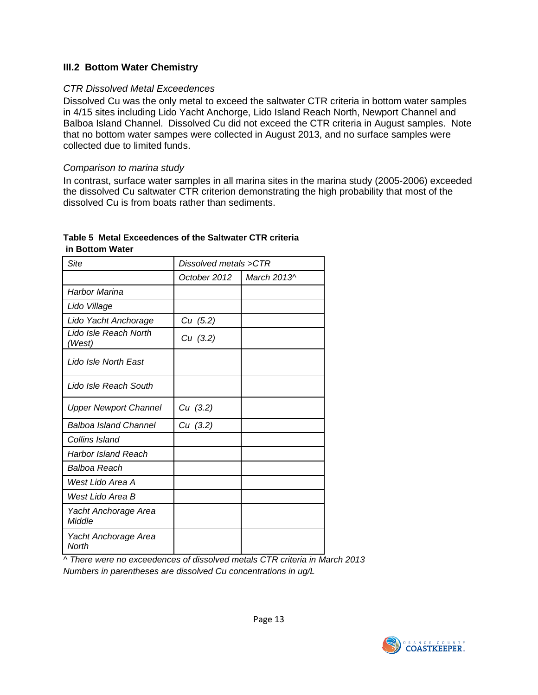#### **III.2 Bottom Water Chemistry**

#### *CTR Dissolved Metal Exceedences*

Dissolved Cu was the only metal to exceed the saltwater CTR criteria in bottom water samples in 4/15 sites including Lido Yacht Anchorge, Lido Island Reach North, Newport Channel and Balboa Island Channel. Dissolved Cu did not exceed the CTR criteria in August samples. Note that no bottom water sampes were collected in August 2013, and no surface samples were collected due to limited funds.

#### *Comparison to marina study*

In contrast, surface water samples in all marina sites in the marina study (2005-2006) exceeded the dissolved Cu saltwater CTR criterion demonstrating the high probability that most of the dissolved Cu is from boats rather than sediments.

#### **Table 5 Metal Exceedences of the Saltwater CTR criteria in Bottom Water**

| Site                            | Dissolved metals >CTR |             |  |
|---------------------------------|-----------------------|-------------|--|
|                                 | October 2012          | March 2013^ |  |
| <b>Harbor Marina</b>            |                       |             |  |
| Lido Village                    |                       |             |  |
| Lido Yacht Anchorage            | Cu (5.2)              |             |  |
| Lido Isle Reach North<br>(West) | Cu (3.2)              |             |  |
| Lido Isle North East            |                       |             |  |
| Lido Isle Reach South           |                       |             |  |
| <b>Upper Newport Channel</b>    | Cu (3.2)              |             |  |
| <b>Balboa Island Channel</b>    | Cu (3.2)              |             |  |
| Collins Island                  |                       |             |  |
| Harbor Island Reach             |                       |             |  |
| Balboa Reach                    |                       |             |  |
| West Lido Area A                |                       |             |  |
| West Lido Area B                |                       |             |  |
| Yacht Anchorage Area<br>Middle  |                       |             |  |
| Yacht Anchorage Area<br>North   |                       |             |  |

*^ There were no exceedences of dissolved metals CTR criteria in March 2013 Numbers in parentheses are dissolved Cu concentrations in ug/L*

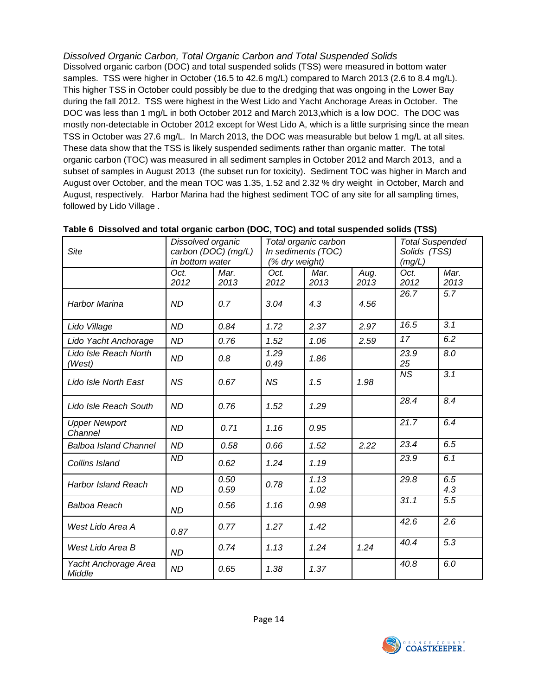*Dissolved Organic Carbon, Total Organic Carbon and Total Suspended Solids*  Dissolved organic carbon (DOC) and total suspended solids (TSS) were measured in bottom water samples. TSS were higher in October (16.5 to 42.6 mg/L) compared to March 2013 (2.6 to 8.4 mg/L). This higher TSS in October could possibly be due to the dredging that was ongoing in the Lower Bay during the fall 2012. TSS were highest in the West Lido and Yacht Anchorage Areas in October. The DOC was less than 1 mg/L in both October 2012 and March 2013,which is a low DOC. The DOC was mostly non-detectable in October 2012 except for West Lido A, which is a little surprising since the mean TSS in October was 27.6 mg/L. In March 2013, the DOC was measurable but below 1 mg/L at all sites. These data show that the TSS is likely suspended sediments rather than organic matter. The total organic carbon (TOC) was measured in all sediment samples in October 2012 and March 2013, and a subset of samples in August 2013 (the subset run for toxicity). Sediment TOC was higher in March and August over October, and the mean TOC was 1.35, 1.52 and 2.32 % dry weight in October, March and August, respectively. Harbor Marina had the highest sediment TOC of any site for all sampling times, followed by Lido Village .

| <b>Site</b>                     |              | Dissolved organic<br>carbon (DOC) (mg/L)<br>in bottom water |              | Total organic carbon<br>In sediments (TOC)<br>(% dry weight) |              | <b>Total Suspended</b><br>Solids (TSS)<br>(mg/L) |                  |
|---------------------------------|--------------|-------------------------------------------------------------|--------------|--------------------------------------------------------------|--------------|--------------------------------------------------|------------------|
|                                 | Oct.<br>2012 | Mar.<br>2013                                                | Oct.<br>2012 | Mar.<br>2013                                                 | Aug.<br>2013 | Oct.<br>2012                                     | Mar.<br>2013     |
| <b>Harbor Marina</b>            | <b>ND</b>    | 0.7                                                         | 3.04         | 4.3                                                          | 4.56         | 26.7                                             | 5.7              |
| Lido Village                    | <b>ND</b>    | 0.84                                                        | 1.72         | 2.37                                                         | 2.97         | 16.5                                             | 3.1              |
| Lido Yacht Anchorage            | <b>ND</b>    | 0.76                                                        | 1.52         | 1.06                                                         | 2.59         | 17                                               | 6.2              |
| Lido Isle Reach North<br>(West) | <b>ND</b>    | 0.8                                                         | 1.29<br>0.49 | 1.86                                                         |              | 23.9<br>25                                       | 8.0              |
| Lido Isle North East            | <b>NS</b>    | 0.67                                                        | <b>NS</b>    | 1.5                                                          | 1.98         | $\overline{MS}$                                  | $\overline{3.1}$ |
| Lido Isle Reach South           | <b>ND</b>    | 0.76                                                        | 1.52         | 1.29                                                         |              | 28.4                                             | 8.4              |
| <b>Upper Newport</b><br>Channel | <b>ND</b>    | 0.71                                                        | 1.16         | 0.95                                                         |              | 21.7                                             | 6.4              |
| <b>Balboa Island Channel</b>    | <b>ND</b>    | 0.58                                                        | 0.66         | 1.52                                                         | 2.22         | 23.4                                             | 6.5              |
| Collins Island                  | <b>ND</b>    | 0.62                                                        | 1.24         | 1.19                                                         |              | 23.9                                             | 6.1              |
| <b>Harbor Island Reach</b>      | <b>ND</b>    | 0.50<br>0.59                                                | 0.78         | 1.13<br>1.02                                                 |              | 29.8                                             | 6.5<br>4.3       |
| <b>Balboa Reach</b>             | <b>ND</b>    | 0.56                                                        | 1.16         | 0.98                                                         |              | 31.1                                             | 5.5              |
| West Lido Area A                | 0.87         | 0.77                                                        | 1.27         | 1.42                                                         |              | 42.6                                             | $\overline{2.6}$ |
| West Lido Area B                | <b>ND</b>    | 0.74                                                        | 1.13         | 1.24                                                         | 1.24         | 40.4                                             | 5.3              |
| Yacht Anchorage Area<br>Middle  | <b>ND</b>    | 0.65                                                        | 1.38         | 1.37                                                         |              | 40.8                                             | 6.0              |

#### **Table 6 Dissolved and total organic carbon (DOC, TOC) and total suspended solids (TSS)**

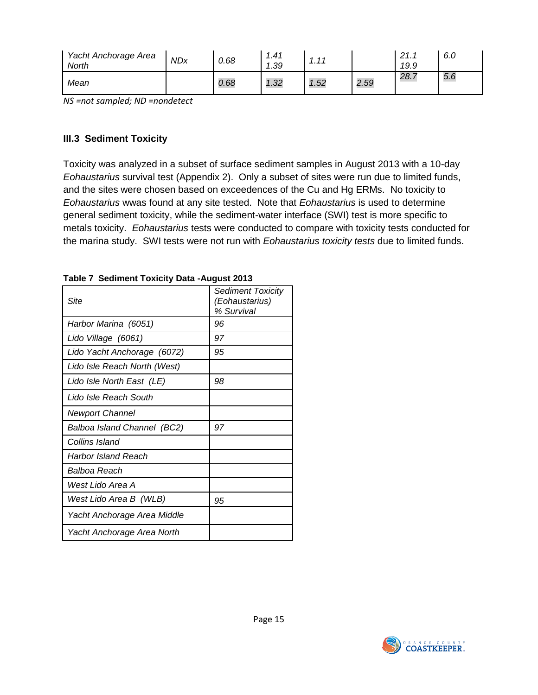| Yacht Anchorage Area<br>North | <b>NDx</b> | 0.68 | 1.41<br>. 39 | $-11$<br>. |      | 21.7<br>19.9 | 6.0 |
|-------------------------------|------------|------|--------------|------------|------|--------------|-----|
| Mean                          |            | 0.68 | 1.32         | 1.52       | 2.59 | 28.7         | 5.6 |

*NS =not sampled; ND =nondetect* 

#### **III.3 Sediment Toxicity**

Toxicity was analyzed in a subset of surface sediment samples in August 2013 with a 10-day *Eohaustarius* survival test (Appendix 2). Only a subset of sites were run due to limited funds, and the sites were chosen based on exceedences of the Cu and Hg ERMs. No toxicity to *Eohaustarius* wwas found at any site tested. Note that *Eohaustarius* is used to determine general sediment toxicity, while the sediment-water interface (SWI) test is more specific to metals toxicity. *Eohaustarius* tests were conducted to compare with toxicity tests conducted for the marina study. SWI tests were not run with *Eohaustarius toxicity tests* due to limited funds.

| Site                         | <b>Sediment Toxicity</b><br>(Eohaustarius)<br>% Survival |
|------------------------------|----------------------------------------------------------|
| Harbor Marina (6051)         | 96                                                       |
| Lido Village (6061)          | 97                                                       |
| Lido Yacht Anchorage (6072)  | 95                                                       |
| Lido Isle Reach North (West) |                                                          |
| Lido Isle North East (LE)    | 98                                                       |
| Lido Isle Reach South        |                                                          |
| <b>Newport Channel</b>       |                                                          |
| Balboa Island Channel (BC2)  | 97                                                       |
| Collins Island               |                                                          |
| Harbor Island Reach          |                                                          |
| Balboa Reach                 |                                                          |
| West Lido Area A             |                                                          |
| West Lido Area B (WLB)       | 95                                                       |
| Yacht Anchorage Area Middle  |                                                          |
| Yacht Anchorage Area North   |                                                          |

**Table 7 Sediment Toxicity Data -August 2013**